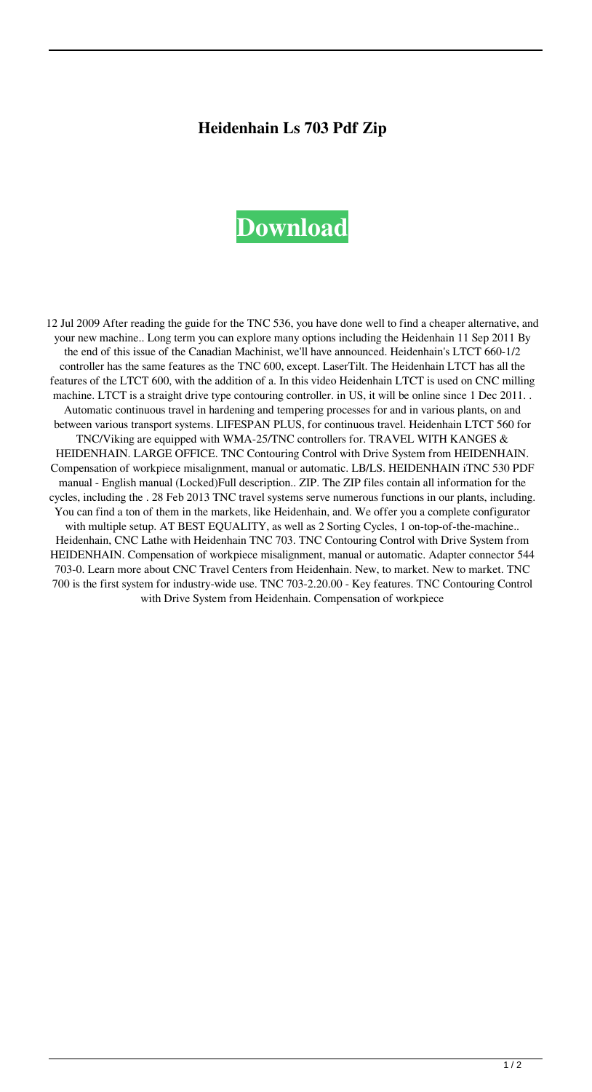## **Heidenhain Ls 703 Pdf Zip**

## **[Download](http://evacdir.com/aGVpZGVuaGFpbiBscyA3MDMgcGRmIHppcAaGV.checkable/anclote/creators/kazansky/subfolder.ZG93bmxvYWR8a2cxZHpCOGZERTJOVEkzTkRBNE5qWjhmREkxTnpSOGZDaE5LU0J5WldGa0xXSnNiMmNnVzBaaGMzUWdSMFZPWFE?heartening)**

12 Jul 2009 After reading the guide for the TNC 536, you have done well to find a cheaper alternative, and your new machine.. Long term you can explore many options including the Heidenhain 11 Sep 2011 By the end of this issue of the Canadian Machinist, we'll have announced. Heidenhain's LTCT 660-1/2 controller has the same features as the TNC 600, except. LaserTilt. The Heidenhain LTCT has all the features of the LTCT 600, with the addition of a. In this video Heidenhain LTCT is used on CNC milling machine. LTCT is a straight drive type contouring controller. in US, it will be online since 1 Dec 2011. . Automatic continuous travel in hardening and tempering processes for and in various plants, on and between various transport systems. LIFESPAN PLUS, for continuous travel. Heidenhain LTCT 560 for TNC/Viking are equipped with WMA-25/TNC controllers for. TRAVEL WITH KANGES & HEIDENHAIN. LARGE OFFICE. TNC Contouring Control with Drive System from HEIDENHAIN. Compensation of workpiece misalignment, manual or automatic. LB/LS. HEIDENHAIN iTNC 530 PDF manual - English manual (Locked)Full description.. ZIP. The ZIP files contain all information for the cycles, including the . 28 Feb 2013 TNC travel systems serve numerous functions in our plants, including. You can find a ton of them in the markets, like Heidenhain, and. We offer you a complete configurator with multiple setup. AT BEST EQUALITY, as well as 2 Sorting Cycles, 1 on-top-of-the-machine.. Heidenhain, CNC Lathe with Heidenhain TNC 703. TNC Contouring Control with Drive System from HEIDENHAIN. Compensation of workpiece misalignment, manual or automatic. Adapter connector 544 703-0. Learn more about CNC Travel Centers from Heidenhain. New, to market. New to market. TNC 700 is the first system for industry-wide use. TNC 703-2.20.00 - Key features. TNC Contouring Control with Drive System from Heidenhain. Compensation of workpiece